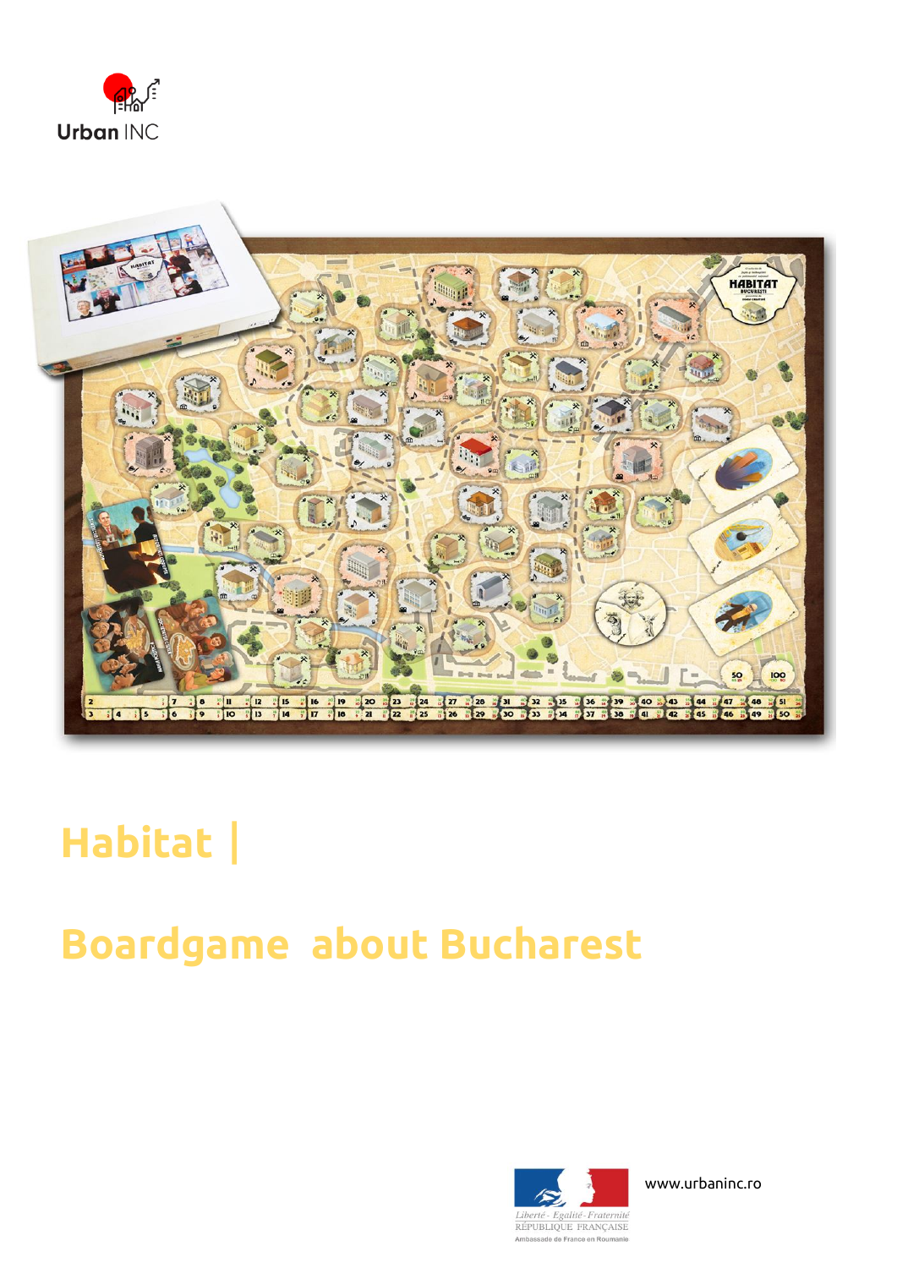



# **Habitat**|

### **Boardgame about Bucharest**



www.urbaninc.ro